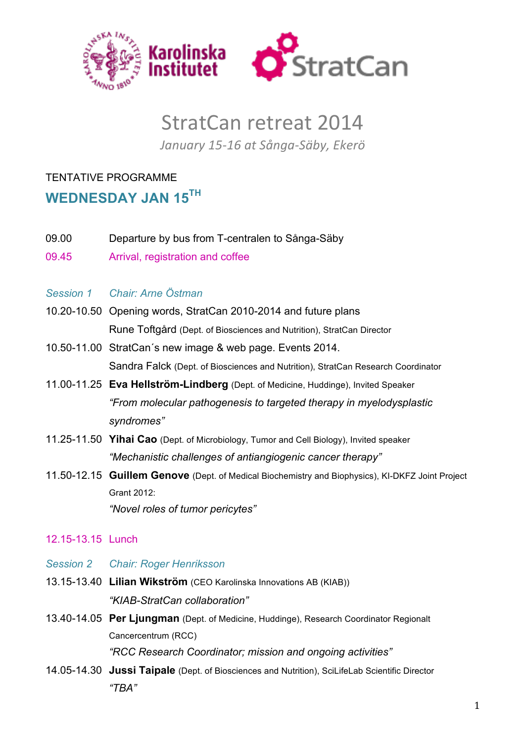

# StratCan retreat 2014

January 15-16 at Sånga-Säby, Ekerö

## TENTATIVE PROGRAMME

## **WEDNESDAY JAN 15TH**

- 09.00 Departure by bus from T-centralen to Sånga-Säby
- 09.45 Arrival, registration and coffee
- *Session 1 Chair: Arne Östman*
- 10.20-10.50 Opening words, StratCan 2010-2014 and future plans Rune Toftgård (Dept. of Biosciences and Nutrition), StratCan Director
- 10.50-11.00 StratCan´s new image & web page. Events 2014. Sandra Falck (Dept. of Biosciences and Nutrition), StratCan Research Coordinator
- 11.00-11.25 **Eva Hellström-Lindberg** (Dept. of Medicine, Huddinge), Invited Speaker *"From molecular pathogenesis to targeted therapy in myelodysplastic syndromes"*
- 11.25-11.50 **Yihai Cao** (Dept. of Microbiology, Tumor and Cell Biology), Invited speaker *"Mechanistic challenges of antiangiogenic cancer therapy"*
- 11.50-12.15 **Guillem Genove** (Dept. of Medical Biochemistry and Biophysics), KI-DKFZ Joint Project Grant 2012: *"Novel roles of tumor pericytes"*

### 12.15-13.15 Lunch

- *Session 2 Chair: Roger Henriksson*
- 13.15-13.40 **Lilian Wikström** (CEO Karolinska Innovations AB (KIAB)) *"KIAB-StratCan collaboration"*
- 13.40-14.05 **Per Ljungman** (Dept. of Medicine, Huddinge), Research Coordinator Regionalt Cancercentrum (RCC) *"RCC Research Coordinator; mission and ongoing activities"*
- 14.05-14.30 **Jussi Taipale** (Dept. of Biosciences and Nutrition), SciLifeLab Scientific Director *"TBA"*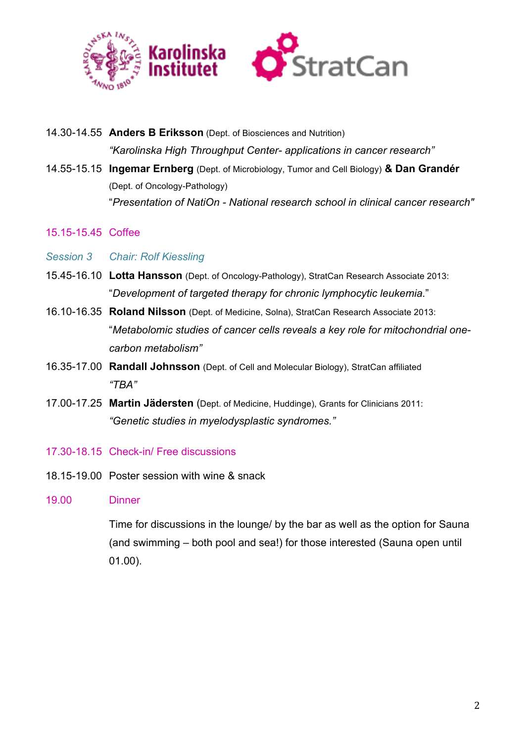

14.30-14.55 **Anders B Eriksson** (Dept. of Biosciences and Nutrition)

*"Karolinska High Throughput Center- applications in cancer research"*

- 14.55-15.15 **Ingemar Ernberg** (Dept. of Microbiology, Tumor and Cell Biology) **& Dan Grandér** (Dept. of Oncology-Pathology) "*Presentation of NatiOn - National research school in clinical cancer research"*
- 15.15-15.45 Coffee
- *Session 3 Chair: Rolf Kiessling*
- 15.45-16.10 **Lotta Hansson** (Dept. of Oncology-Pathology), StratCan Research Associate 2013: "*Development of targeted therapy for chronic lymphocytic leukemia.*"
- 16.10-16.35 **Roland Nilsson** (Dept. of Medicine, Solna), StratCan Research Associate 2013: "*Metabolomic studies of cancer cells reveals a key role for mitochondrial onecarbon metabolism"*
- 16.35-17.00 **Randall Johnsson** (Dept. of Cell and Molecular Biology), StratCan affiliated *"TBA"*
- 17.00-17.25 **Martin Jädersten** (Dept. of Medicine, Huddinge), Grants for Clinicians 2011: *"Genetic studies in myelodysplastic syndromes."*
- 17.30-18.15 Check-in/ Free discussions
- 18.15-19.00 Poster session with wine & snack
- 19.00 Dinner

Time for discussions in the lounge/ by the bar as well as the option for Sauna (and swimming – both pool and sea!) for those interested (Sauna open until 01.00).